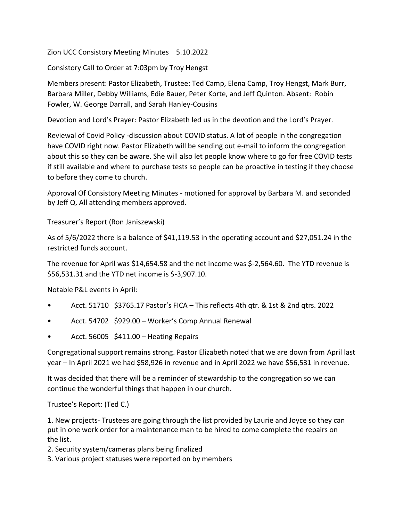Zion UCC Consistory Meeting Minutes 5.10.2022

Consistory Call to Order at 7:03pm by Troy Hengst

Members present: Pastor Elizabeth, Trustee: Ted Camp, Elena Camp, Troy Hengst, Mark Burr, Barbara Miller, Debby Williams, Edie Bauer, Peter Korte, and Jeff Quinton. Absent: Robin Fowler, W. George Darrall, and Sarah Hanley-Cousins

Devotion and Lord's Prayer: Pastor Elizabeth led us in the devotion and the Lord's Prayer.

Reviewal of Covid Policy -discussion about COVID status. A lot of people in the congregation have COVID right now. Pastor Elizabeth will be sending out e-mail to inform the congregation about this so they can be aware. She will also let people know where to go for free COVID tests if still available and where to purchase tests so people can be proactive in testing if they choose to before they come to church.

Approval Of Consistory Meeting Minutes - motioned for approval by Barbara M. and seconded by Jeff Q. All attending members approved.

Treasurer's Report (Ron Janiszewski)

As of 5/6/2022 there is a balance of \$41,119.53 in the operating account and \$27,051.24 in the restricted funds account.

The revenue for April was \$14,654.58 and the net income was \$-2,564.60. The YTD revenue is \$56,531.31 and the YTD net income is \$-3,907.10.

Notable P&L events in April:

- Acct. 51710 \$3765.17 Pastor's FICA This reflects 4th qtr. & 1st & 2nd qtrs. 2022
- Acct. 54702 \$929.00 Worker's Comp Annual Renewal
- Acct. 56005 \$411.00 Heating Repairs

Congregational support remains strong. Pastor Elizabeth noted that we are down from April last year – In April 2021 we had \$58,926 in revenue and in April 2022 we have \$56,531 in revenue.

It was decided that there will be a reminder of stewardship to the congregation so we can continue the wonderful things that happen in our church.

Trustee's Report: (Ted C.)

1. New projects- Trustees are going through the list provided by Laurie and Joyce so they can put in one work order for a maintenance man to be hired to come complete the repairs on the list.

2. Security system/cameras plans being finalized

3. Various project statuses were reported on by members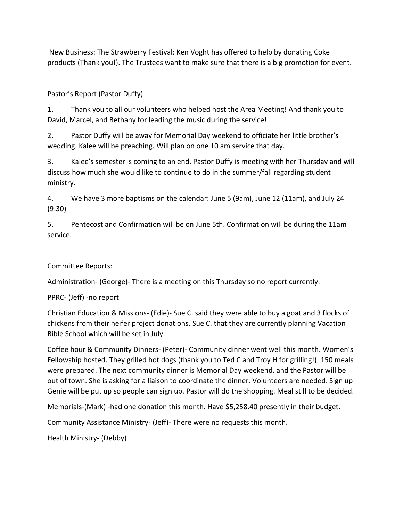New Business: The Strawberry Festival: Ken Voght has offered to help by donating Coke products (Thank you!). The Trustees want to make sure that there is a big promotion for event.

## Pastor's Report (Pastor Duffy)

1. Thank you to all our volunteers who helped host the Area Meeting! And thank you to David, Marcel, and Bethany for leading the music during the service!

2. Pastor Duffy will be away for Memorial Day weekend to officiate her little brother's wedding. Kalee will be preaching. Will plan on one 10 am service that day.

3. Kalee's semester is coming to an end. Pastor Duffy is meeting with her Thursday and will discuss how much she would like to continue to do in the summer/fall regarding student ministry.

4. We have 3 more baptisms on the calendar: June 5 (9am), June 12 (11am), and July 24 (9:30)

5. Pentecost and Confirmation will be on June 5th. Confirmation will be during the 11am service.

## Committee Reports:

Administration- (George)- There is a meeting on this Thursday so no report currently.

PPRC- (Jeff) -no report

Christian Education & Missions- (Edie)- Sue C. said they were able to buy a goat and 3 flocks of chickens from their heifer project donations. Sue C. that they are currently planning Vacation Bible School which will be set in July.

Coffee hour & Community Dinners- (Peter)- Community dinner went well this month. Women's Fellowship hosted. They grilled hot dogs (thank you to Ted C and Troy H for grilling!). 150 meals were prepared. The next community dinner is Memorial Day weekend, and the Pastor will be out of town. She is asking for a liaison to coordinate the dinner. Volunteers are needed. Sign up Genie will be put up so people can sign up. Pastor will do the shopping. Meal still to be decided.

Memorials-(Mark) -had one donation this month. Have \$5,258.40 presently in their budget.

Community Assistance Ministry- (Jeff)- There were no requests this month.

Health Ministry- (Debby)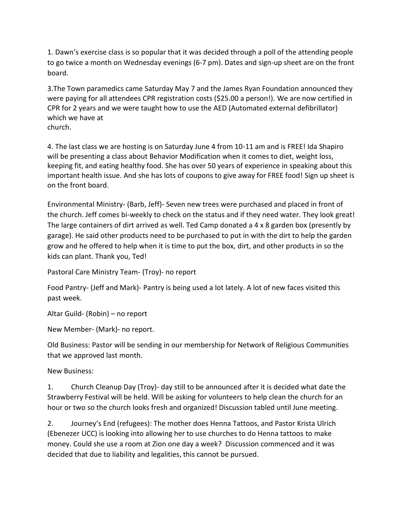1. Dawn's exercise class is so popular that it was decided through a poll of the attending people to go twice a month on Wednesday evenings (6-7 pm). Dates and sign-up sheet are on the front board.

3.The Town paramedics came Saturday May 7 and the James Ryan Foundation announced they were paying for all attendees CPR registration costs (\$25.00 a person!). We are now certified in CPR for 2 years and we were taught how to use the AED (Automated external defibrillator) which we have at church.

4. The last class we are hosting is on Saturday June 4 from 10-11 am and is FREE! Ida Shapiro will be presenting a class about Behavior Modification when it comes to diet, weight loss, keeping fit, and eating healthy food. She has over 50 years of experience in speaking about this important health issue. And she has lots of coupons to give away for FREE food! Sign up sheet is on the front board.

Environmental Ministry- (Barb, Jeff)- Seven new trees were purchased and placed in front of the church. Jeff comes bi-weekly to check on the status and if they need water. They look great! The large containers of dirt arrived as well. Ted Camp donated a 4 x 8 garden box (presently by garage). He said other products need to be purchased to put in with the dirt to help the garden grow and he offered to help when it is time to put the box, dirt, and other products in so the kids can plant. Thank you, Ted!

Pastoral Care Ministry Team- (Troy)- no report

Food Pantry- (Jeff and Mark)- Pantry is being used a lot lately. A lot of new faces visited this past week.

Altar Guild- (Robin) – no report

New Member- (Mark)- no report.

Old Business: Pastor will be sending in our membership for Network of Religious Communities that we approved last month.

New Business:

1. Church Cleanup Day (Troy)- day still to be announced after it is decided what date the Strawberry Festival will be held. Will be asking for volunteers to help clean the church for an hour or two so the church looks fresh and organized! Discussion tabled until June meeting.

2. Journey's End (refugees): The mother does Henna Tattoos, and Pastor Krista Ulrich (Ebenezer UCC) is looking into allowing her to use churches to do Henna tattoos to make money. Could she use a room at Zion one day a week? Discussion commenced and it was decided that due to liability and legalities, this cannot be pursued.